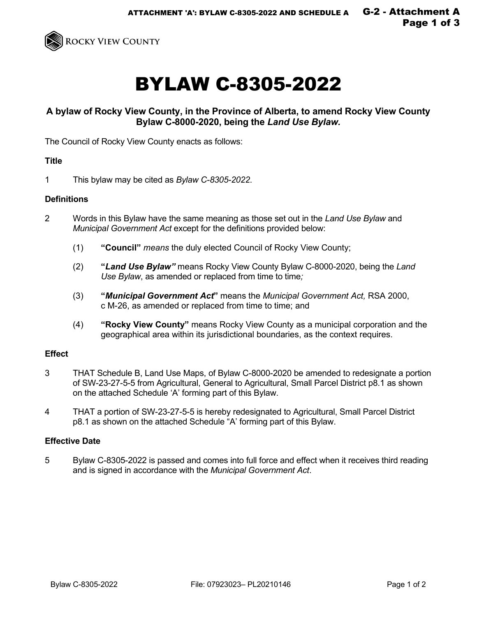

# BYLAW C-8305-2022

# **A bylaw of Rocky View County, in the Province of Alberta, to amend Rocky View County Bylaw C-8000-2020, being the** *Land Use Bylaw.*

The Council of Rocky View County enacts as follows:

#### **Title**

1 This bylaw may be cited as *Bylaw C-8305-2022*.

### **Definitions**

- 2 Words in this Bylaw have the same meaning as those set out in the *Land Use Bylaw* and *Municipal Government Act* except for the definitions provided below:
	- (1) **"Council"** *means* the duly elected Council of Rocky View County;
	- (2) **"***Land Use Bylaw"* means Rocky View County Bylaw C-8000-2020, being the *Land Use Bylaw*, as amended or replaced from time to time;
	- (3) **"***Municipal Government Act***"** means the *Municipal Government Act,* RSA 2000, c M-26, as amended or replaced from time to time; and
	- (4) **"Rocky View County"** means Rocky View County as a municipal corporation and the geographical area within its jurisdictional boundaries, as the context requires.

## **Effect**

- 3 THAT Schedule B, Land Use Maps, of Bylaw C-8000-2020 be amended to redesignate a portion of SW-23-27-5-5 from Agricultural, General to Agricultural, Small Parcel District p8.1 as shown on the attached Schedule 'A' forming part of this Bylaw.
- 4 THAT a portion of SW-23-27-5-5 is hereby redesignated to Agricultural, Small Parcel District p8.1 as shown on the attached Schedule "A' forming part of this Bylaw.

#### **Effective Date**

5 Bylaw C-8305-2022 is passed and comes into full force and effect when it receives third reading and is signed in accordance with the *Municipal Government Act*.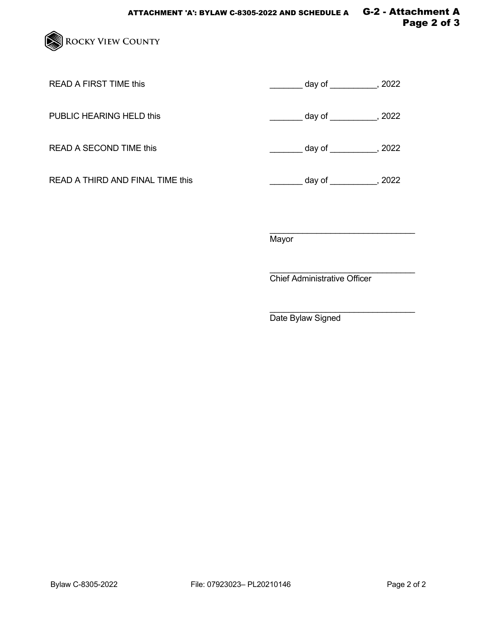

READ A FIRST TIME this  $\frac{1}{2}$  day of \_\_\_\_\_\_\_\_, 2022

PUBLIC HEARING HELD this  $\qquad \qquad \qquad \qquad \qquad \qquad \qquad \qquad \qquad \qquad \text{day of } \qquad \qquad \qquad \qquad \qquad \qquad \qquad \text{. } 2022$ 

READ A SECOND TIME this  $\overline{\qquad \qquad }$  day of \_\_\_\_\_\_\_, 2022

READ A THIRD AND FINAL TIME this \_\_\_\_\_\_\_\_\_\_\_\_\_\_\_\_\_\_\_\_\_\_\_\_\_ day of \_\_\_\_\_\_\_\_\_\_\_, 2022

\_\_\_\_\_\_\_\_\_\_\_\_\_\_\_\_\_\_\_\_\_\_\_\_\_\_\_\_\_\_\_ **Mayor** 

\_\_\_\_\_\_\_\_\_\_\_\_\_\_\_\_\_\_\_\_\_\_\_\_\_\_\_\_\_\_\_ Chief Administrative Officer

\_\_\_\_\_\_\_\_\_\_\_\_\_\_\_\_\_\_\_\_\_\_\_\_\_\_\_\_\_\_\_ Date Bylaw Signed